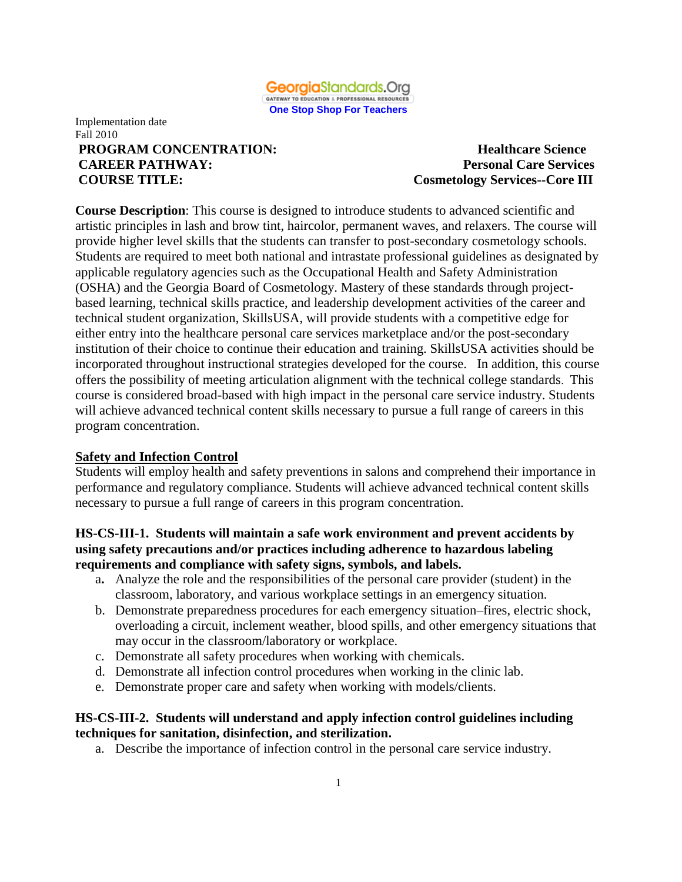

#### Implementation date Fall 2010 **PROGRAM CONCENTRATION:** Healthcare Science **CAREER PATHWAY: Personal Care Services COURSE TITLE: Cosmetology Services--Core III**

**Course Description**: This course is designed to introduce students to advanced scientific and artistic principles in lash and brow tint, haircolor, permanent waves, and relaxers. The course will provide higher level skills that the students can transfer to post-secondary cosmetology schools. Students are required to meet both national and intrastate professional guidelines as designated by applicable regulatory agencies such as the Occupational Health and Safety Administration (OSHA) and the Georgia Board of Cosmetology. Mastery of these standards through projectbased learning, technical skills practice, and leadership development activities of the career and technical student organization, SkillsUSA, will provide students with a competitive edge for either entry into the healthcare personal care services marketplace and/or the post-secondary institution of their choice to continue their education and training. SkillsUSA activities should be incorporated throughout instructional strategies developed for the course. In addition, this course offers the possibility of meeting articulation alignment with the technical college standards. This course is considered broad-based with high impact in the personal care service industry. Students will achieve advanced technical content skills necessary to pursue a full range of careers in this program concentration.

# **Safety and Infection Control**

Students will employ health and safety preventions in salons and comprehend their importance in performance and regulatory compliance. Students will achieve advanced technical content skills necessary to pursue a full range of careers in this program concentration.

## **HS-CS-III-1. Students will maintain a safe work environment and prevent accidents by using safety precautions and/or practices including adherence to hazardous labeling requirements and compliance with safety signs, symbols, and labels.**

- a**.** Analyze the role and the responsibilities of the personal care provider (student) in the classroom, laboratory, and various workplace settings in an emergency situation*.*
- b. Demonstrate preparedness procedures for each emergency situation–fires, electric shock, overloading a circuit, inclement weather, blood spills, and other emergency situations that may occur in the classroom/laboratory or workplace.
- c. Demonstrate all safety procedures when working with chemicals.
- d. Demonstrate all infection control procedures when working in the clinic lab.
- e. Demonstrate proper care and safety when working with models/clients.

#### **HS-CS-III-2. Students will understand and apply infection control guidelines including techniques for sanitation, disinfection, and sterilization.**

a. Describe the importance of infection control in the personal care service industry.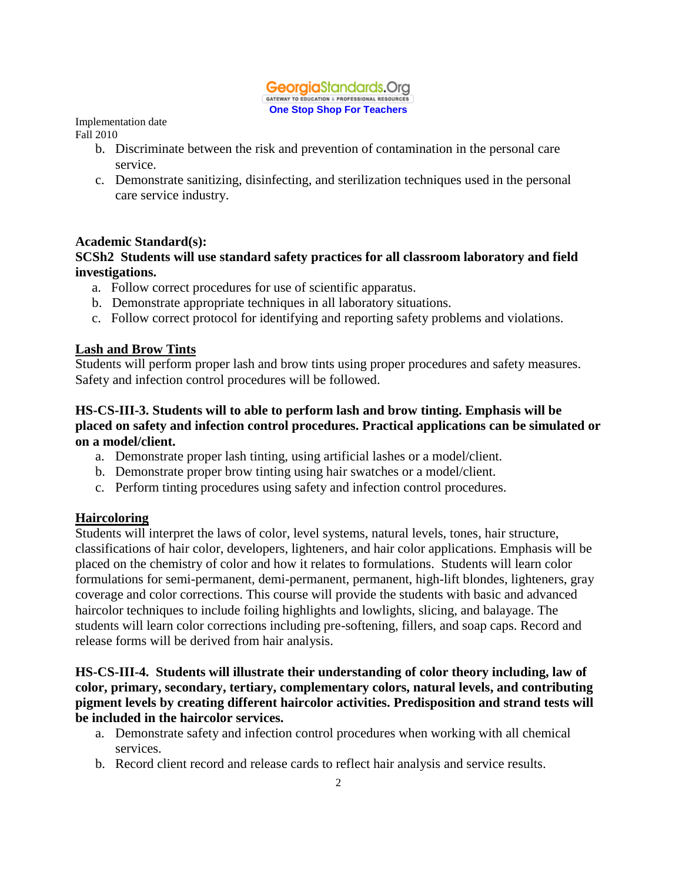

Implementation date

Fall 2010

- b. Discriminate between the risk and prevention of contamination in the personal care service.
- c. Demonstrate sanitizing, disinfecting, and sterilization techniques used in the personal care service industry.

#### **Academic Standard(s):**

#### **SCSh2 Students will use standard safety practices for all classroom laboratory and field investigations.**

- a. Follow correct procedures for use of scientific apparatus.
- b. Demonstrate appropriate techniques in all laboratory situations.
- c. Follow correct protocol for identifying and reporting safety problems and violations.

#### **Lash and Brow Tints**

Students will perform proper lash and brow tints using proper procedures and safety measures. Safety and infection control procedures will be followed.

#### **HS-CS-III-3. Students will to able to perform lash and brow tinting. Emphasis will be placed on safety and infection control procedures. Practical applications can be simulated or on a model/client.**

- a. Demonstrate proper lash tinting, using artificial lashes or a model/client.
- b. Demonstrate proper brow tinting using hair swatches or a model/client.
- c. Perform tinting procedures using safety and infection control procedures.

#### **Haircoloring**

Students will interpret the laws of color, level systems, natural levels, tones, hair structure, classifications of hair color, developers, lighteners, and hair color applications. Emphasis will be placed on the chemistry of color and how it relates to formulations. Students will learn color formulations for semi-permanent, demi-permanent, permanent, high-lift blondes, lighteners, gray coverage and color corrections. This course will provide the students with basic and advanced haircolor techniques to include foiling highlights and lowlights, slicing, and balayage. The students will learn color corrections including pre-softening, fillers, and soap caps. Record and release forms will be derived from hair analysis.

#### **HS-CS-III-4. Students will illustrate their understanding of color theory including, law of color, primary, secondary, tertiary, complementary colors, natural levels, and contributing pigment levels by creating different haircolor activities. Predisposition and strand tests will be included in the haircolor services.**

- a. Demonstrate safety and infection control procedures when working with all chemical services.
- b. Record client record and release cards to reflect hair analysis and service results.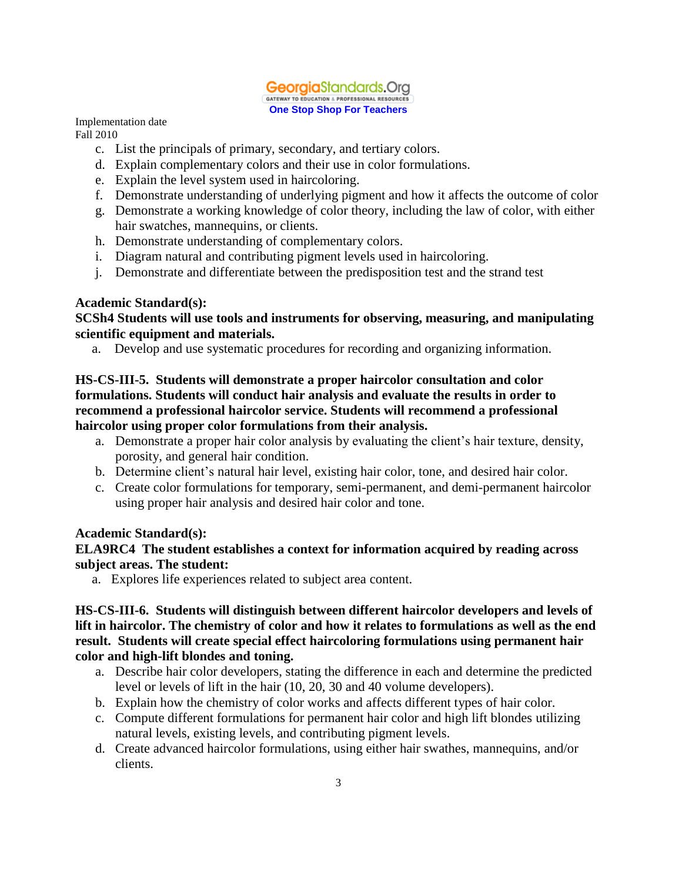

Implementation date

Fall 2010

- c. List the principals of primary, secondary, and tertiary colors.
- d. Explain complementary colors and their use in color formulations.
- e. Explain the level system used in haircoloring.
- f. Demonstrate understanding of underlying pigment and how it affects the outcome of color
- g. Demonstrate a working knowledge of color theory, including the law of color, with either hair swatches, mannequins, or clients.
- h. Demonstrate understanding of complementary colors.
- i. Diagram natural and contributing pigment levels used in haircoloring.
- j. Demonstrate and differentiate between the predisposition test and the strand test

#### **Academic Standard(s):**

**SCSh4 Students will use tools and instruments for observing, measuring, and manipulating scientific equipment and materials.**

a. Develop and use systematic procedures for recording and organizing information.

## **HS-CS-III-5. Students will demonstrate a proper haircolor consultation and color formulations. Students will conduct hair analysis and evaluate the results in order to recommend a professional haircolor service. Students will recommend a professional haircolor using proper color formulations from their analysis.**

- a. Demonstrate a proper hair color analysis by evaluating the client's hair texture, density, porosity, and general hair condition.
- b. Determine client's natural hair level, existing hair color, tone, and desired hair color.
- c. Create color formulations for temporary, semi-permanent, and demi-permanent haircolor using proper hair analysis and desired hair color and tone.

# **Academic Standard(s):**

#### **ELA9RC4 The student establishes a context for information acquired by reading across subject areas. The student:**

a. Explores life experiences related to subject area content.

## **HS-CS-III-6. Students will distinguish between different haircolor developers and levels of lift in haircolor. The chemistry of color and how it relates to formulations as well as the end result. Students will create special effect haircoloring formulations using permanent hair color and high-lift blondes and toning.**

- a. Describe hair color developers, stating the difference in each and determine the predicted level or levels of lift in the hair (10, 20, 30 and 40 volume developers).
- b. Explain how the chemistry of color works and affects different types of hair color.
- c. Compute different formulations for permanent hair color and high lift blondes utilizing natural levels, existing levels, and contributing pigment levels.
- d. Create advanced haircolor formulations, using either hair swathes, mannequins, and/or clients.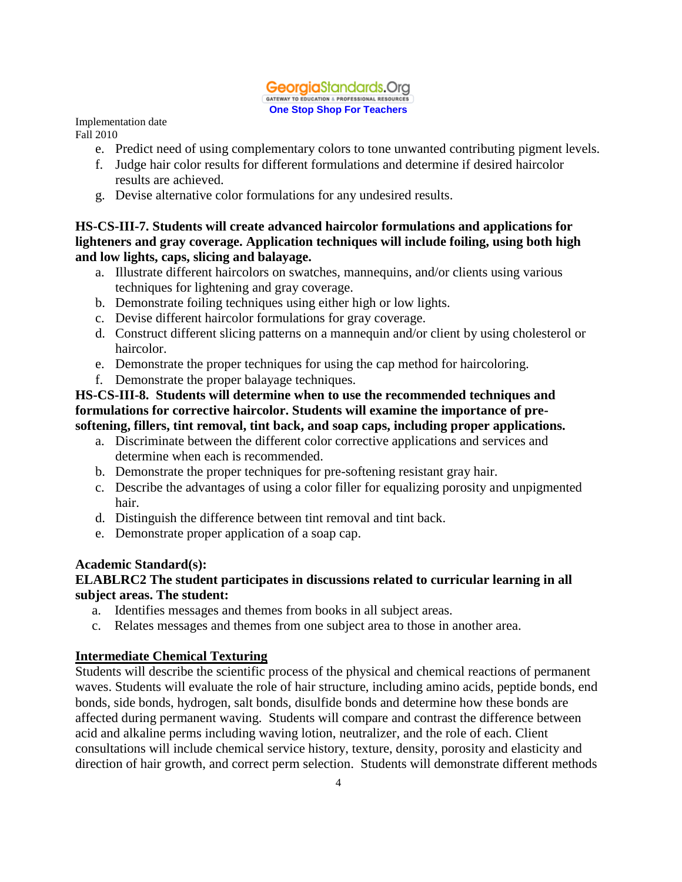

Implementation date

- Fall 2010
	- e. Predict need of using complementary colors to tone unwanted contributing pigment levels.
	- f. Judge hair color results for different formulations and determine if desired haircolor results are achieved.
	- g. Devise alternative color formulations for any undesired results.

# **HS-CS-III-7. Students will create advanced haircolor formulations and applications for lighteners and gray coverage. Application techniques will include foiling, using both high and low lights, caps, slicing and balayage.**

- a. Illustrate different haircolors on swatches, mannequins, and/or clients using various techniques for lightening and gray coverage.
- b. Demonstrate foiling techniques using either high or low lights.
- c. Devise different haircolor formulations for gray coverage.
- d. Construct different slicing patterns on a mannequin and/or client by using cholesterol or haircolor.
- e. Demonstrate the proper techniques for using the cap method for haircoloring.
- f. Demonstrate the proper balayage techniques.

#### **HS-CS-III-8. Students will determine when to use the recommended techniques and formulations for corrective haircolor. Students will examine the importance of presoftening, fillers, tint removal, tint back, and soap caps, including proper applications.**

- a. Discriminate between the different color corrective applications and services and determine when each is recommended.
- b. Demonstrate the proper techniques for pre-softening resistant gray hair.
- c. Describe the advantages of using a color filler for equalizing porosity and unpigmented hair.
- d. Distinguish the difference between tint removal and tint back.
- e. Demonstrate proper application of a soap cap.

# **Academic Standard(s):**

# **ELABLRC2 The student participates in discussions related to curricular learning in all subject areas. The student:**

- a. Identifies messages and themes from books in all subject areas.
- c. Relates messages and themes from one subject area to those in another area.

# **Intermediate Chemical Texturing**

Students will describe the scientific process of the physical and chemical reactions of permanent waves. Students will evaluate the role of hair structure, including amino acids, peptide bonds, end bonds, side bonds, hydrogen, salt bonds, disulfide bonds and determine how these bonds are affected during permanent waving. Students will compare and contrast the difference between acid and alkaline perms including waving lotion, neutralizer, and the role of each. Client consultations will include chemical service history, texture, density, porosity and elasticity and direction of hair growth, and correct perm selection. Students will demonstrate different methods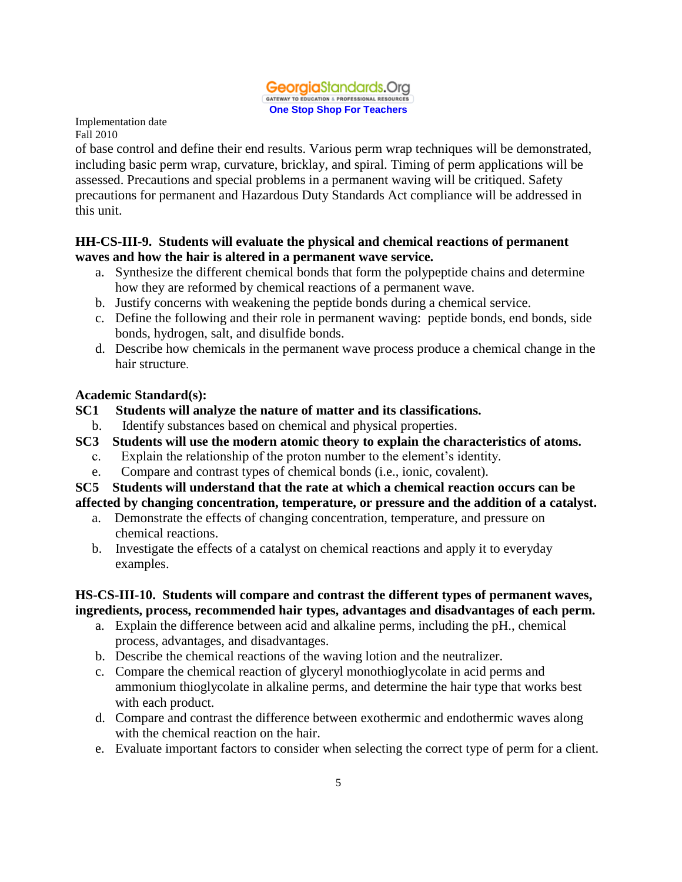

of base control and define their end results. Various perm wrap techniques will be demonstrated, including basic perm wrap, curvature, bricklay, and spiral. Timing of perm applications will be assessed. Precautions and special problems in a permanent waving will be critiqued. Safety precautions for permanent and Hazardous Duty Standards Act compliance will be addressed in this unit.

# **HH-CS-III-9. Students will evaluate the physical and chemical reactions of permanent waves and how the hair is altered in a permanent wave service.**

- a. Synthesize the different chemical bonds that form the polypeptide chains and determine how they are reformed by chemical reactions of a permanent wave.
- b. Justify concerns with weakening the peptide bonds during a chemical service.
- c. Define the following and their role in permanent waving: peptide bonds, end bonds, side bonds, hydrogen, salt, and disulfide bonds.
- d. Describe how chemicals in the permanent wave process produce a chemical change in the hair structure.

# **Academic Standard(s):**

- **SC1 Students will analyze the nature of matter and its classifications.**
	- b. Identify substances based on chemical and physical properties.
- **SC3 Students will use the modern atomic theory to explain the characteristics of atoms.**
	- c. Explain the relationship of the proton number to the element's identity.
	- e. Compare and contrast types of chemical bonds (i.e., ionic, covalent).

# **SC5 Students will understand that the rate at which a chemical reaction occurs can be affected by changing concentration, temperature, or pressure and the addition of a catalyst.**

- a. Demonstrate the effects of changing concentration, temperature, and pressure on chemical reactions.
- b. Investigate the effects of a catalyst on chemical reactions and apply it to everyday examples.

# **HS-CS-III-10. Students will compare and contrast the different types of permanent waves, ingredients, process, recommended hair types, advantages and disadvantages of each perm.**

- a. Explain the difference between acid and alkaline perms, including the pH., chemical process, advantages, and disadvantages.
- b. Describe the chemical reactions of the waving lotion and the neutralizer.
- c. Compare the chemical reaction of glyceryl monothioglycolate in acid perms and ammonium thioglycolate in alkaline perms, and determine the hair type that works best with each product.
- d. Compare and contrast the difference between exothermic and endothermic waves along with the chemical reaction on the hair.
- e. Evaluate important factors to consider when selecting the correct type of perm for a client.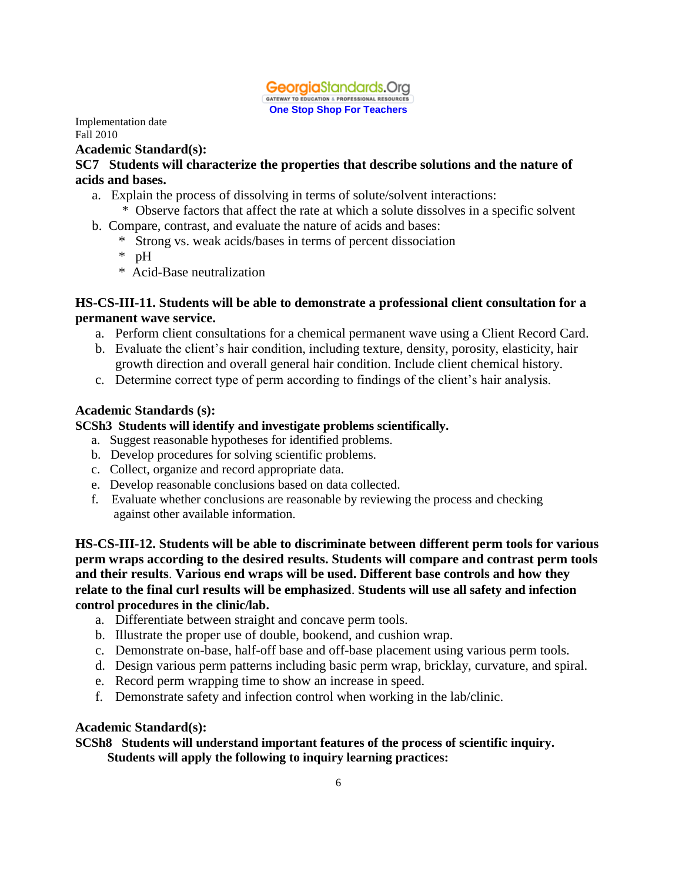

#### **Academic Standard(s):**

#### **SC7 Students will characterize the properties that describe solutions and the nature of acids and bases.**

- a. Explain the process of dissolving in terms of solute/solvent interactions:
	- \* Observe factors that affect the rate at which a solute dissolves in a specific solvent
- b. Compare, contrast, and evaluate the nature of acids and bases:
	- \* Strong vs. weak acids/bases in terms of percent dissociation
	- \* pH
	- \* Acid-Base neutralization

#### **HS-CS-III-11. Students will be able to demonstrate a professional client consultation for a permanent wave service.**

- a. Perform client consultations for a chemical permanent wave using a Client Record Card.
- b. Evaluate the client's hair condition, including texture, density, porosity, elasticity, hair growth direction and overall general hair condition. Include client chemical history.
- c. Determine correct type of perm according to findings of the client's hair analysis.

#### **Academic Standards (s):**

#### **SCSh3 Students will identify and investigate problems scientifically.**

- a. Suggest reasonable hypotheses for identified problems.
- b. Develop procedures for solving scientific problems.
- c. Collect, organize and record appropriate data.
- e. Develop reasonable conclusions based on data collected.
- f. Evaluate whether conclusions are reasonable by reviewing the process and checking against other available information.

**HS-CS-III-12. Students will be able to discriminate between different perm tools for various perm wraps according to the desired results. Students will compare and contrast perm tools and their results**. **Various end wraps will be used. Different base controls and how they relate to the final curl results will be emphasized**. **Students will use all safety and infection control procedures in the clinic/lab.**

- a. Differentiate between straight and concave perm tools.
- b. Illustrate the proper use of double, bookend, and cushion wrap.
- c. Demonstrate on-base, half-off base and off-base placement using various perm tools.
- d. Design various perm patterns including basic perm wrap, bricklay, curvature, and spiral.
- e. Record perm wrapping time to show an increase in speed.
- f. Demonstrate safety and infection control when working in the lab/clinic.

#### **Academic Standard(s):**

**SCSh8 Students will understand important features of the process of scientific inquiry. Students will apply the following to inquiry learning practices:**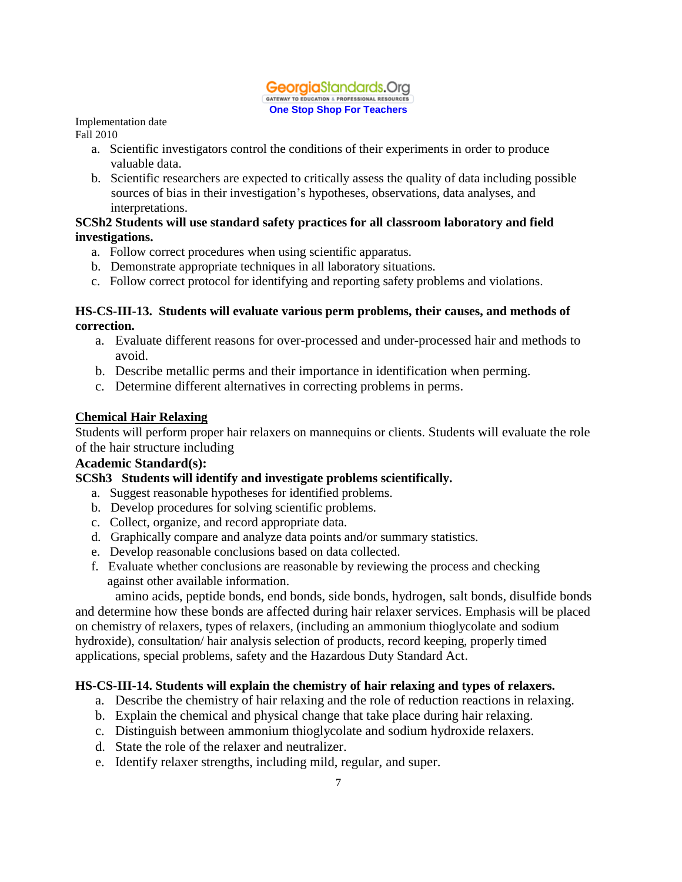#### **Georgia**Standards.Org GATEWAY TO EDUCATION & PROFESSIONAL RESOURCES **One Stop Shop For Teachers**

## Implementation date

Fall 2010

- a. Scientific investigators control the conditions of their experiments in order to produce valuable data.
- b. Scientific researchers are expected to critically assess the quality of data including possible sources of bias in their investigation's hypotheses, observations, data analyses, and interpretations.

#### **SCSh2 Students will use standard safety practices for all classroom laboratory and field investigations.**

- a. Follow correct procedures when using scientific apparatus.
- b. Demonstrate appropriate techniques in all laboratory situations.
- c. Follow correct protocol for identifying and reporting safety problems and violations.

#### **HS-CS-III-13. Students will evaluate various perm problems, their causes, and methods of correction.**

- a. Evaluate different reasons for over-processed and under-processed hair and methods to avoid.
- b. Describe metallic perms and their importance in identification when perming.
- c. Determine different alternatives in correcting problems in perms.

#### **Chemical Hair Relaxing**

Students will perform proper hair relaxers on mannequins or clients. Students will evaluate the role of the hair structure including

# **Academic Standard(s):**

# **SCSh3 Students will identify and investigate problems scientifically.**

- a. Suggest reasonable hypotheses for identified problems.
- b. Develop procedures for solving scientific problems.
- c. Collect, organize, and record appropriate data.
- d. Graphically compare and analyze data points and/or summary statistics.
- e. Develop reasonable conclusions based on data collected.
- f. Evaluate whether conclusions are reasonable by reviewing the process and checking against other available information.

amino acids, peptide bonds, end bonds, side bonds, hydrogen, salt bonds, disulfide bonds and determine how these bonds are affected during hair relaxer services. Emphasis will be placed on chemistry of relaxers, types of relaxers, (including an ammonium thioglycolate and sodium hydroxide), consultation/ hair analysis selection of products, record keeping, properly timed applications, special problems, safety and the Hazardous Duty Standard Act.

#### **HS-CS-III-14. Students will explain the chemistry of hair relaxing and types of relaxers.**

- a. Describe the chemistry of hair relaxing and the role of reduction reactions in relaxing.
- b. Explain the chemical and physical change that take place during hair relaxing.
- c. Distinguish between ammonium thioglycolate and sodium hydroxide relaxers.
- d. State the role of the relaxer and neutralizer.
- e. Identify relaxer strengths, including mild, regular, and super.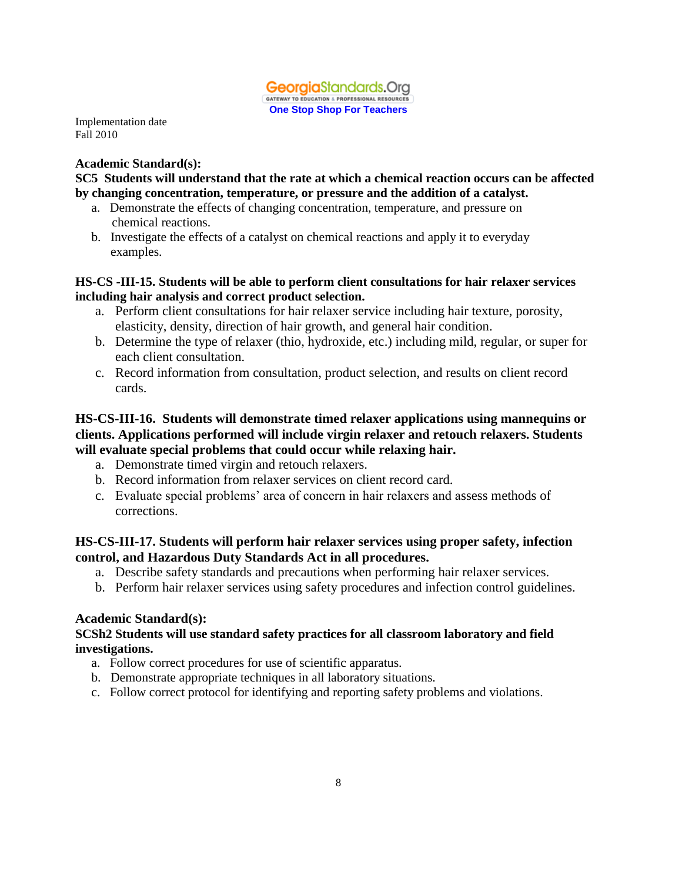

#### **Academic Standard(s):**

#### **SC5 Students will understand that the rate at which a chemical reaction occurs can be affected by changing concentration, temperature, or pressure and the addition of a catalyst.**

- a. Demonstrate the effects of changing concentration, temperature, and pressure on chemical reactions.
- b. Investigate the effects of a catalyst on chemical reactions and apply it to everyday examples.

#### **HS-CS -III-15. Students will be able to perform client consultations for hair relaxer services including hair analysis and correct product selection.**

- a. Perform client consultations for hair relaxer service including hair texture, porosity, elasticity, density, direction of hair growth, and general hair condition.
- b. Determine the type of relaxer (thio, hydroxide, etc.) including mild, regular, or super for each client consultation.
- c. Record information from consultation, product selection, and results on client record cards.

## **HS-CS-III-16. Students will demonstrate timed relaxer applications using mannequins or clients. Applications performed will include virgin relaxer and retouch relaxers. Students will evaluate special problems that could occur while relaxing hair.**

- a. Demonstrate timed virgin and retouch relaxers.
- b. Record information from relaxer services on client record card.
- c. Evaluate special problems' area of concern in hair relaxers and assess methods of corrections.

#### **HS-CS-III-17. Students will perform hair relaxer services using proper safety, infection control, and Hazardous Duty Standards Act in all procedures.**

- a. Describe safety standards and precautions when performing hair relaxer services.
- b. Perform hair relaxer services using safety procedures and infection control guidelines.

#### **Academic Standard(s):**

#### **SCSh2 Students will use standard safety practices for all classroom laboratory and field investigations.**

- a. Follow correct procedures for use of scientific apparatus.
- b. Demonstrate appropriate techniques in all laboratory situations.
- c. Follow correct protocol for identifying and reporting safety problems and violations.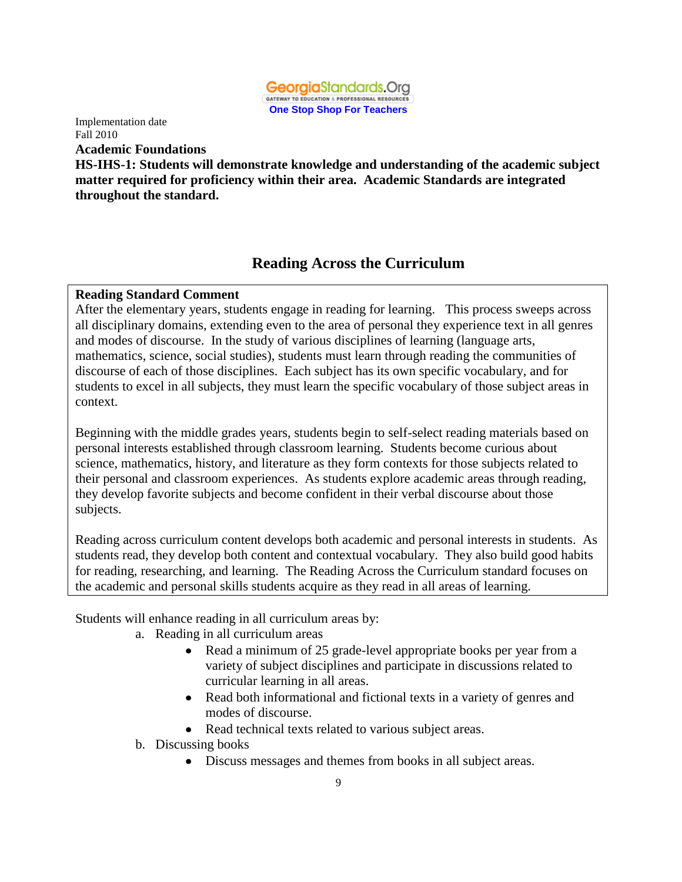

Implementation date Fall 2010 **Academic Foundations** 

**HS-IHS-1: Students will demonstrate knowledge and understanding of the academic subject matter required for proficiency within their area. Academic Standards are integrated throughout the standard.**

# **Reading Across the Curriculum**

#### **Reading Standard Comment**

After the elementary years, students engage in reading for learning. This process sweeps across all disciplinary domains, extending even to the area of personal they experience text in all genres and modes of discourse. In the study of various disciplines of learning (language arts, mathematics, science, social studies), students must learn through reading the communities of discourse of each of those disciplines. Each subject has its own specific vocabulary, and for students to excel in all subjects, they must learn the specific vocabulary of those subject areas in context.

Beginning with the middle grades years, students begin to self-select reading materials based on personal interests established through classroom learning. Students become curious about science, mathematics, history, and literature as they form contexts for those subjects related to their personal and classroom experiences. As students explore academic areas through reading, they develop favorite subjects and become confident in their verbal discourse about those subjects.

Reading across curriculum content develops both academic and personal interests in students. As students read, they develop both content and contextual vocabulary. They also build good habits for reading, researching, and learning. The Reading Across the Curriculum standard focuses on the academic and personal skills students acquire as they read in all areas of learning.

Students will enhance reading in all curriculum areas by:

- a. Reading in all curriculum areas
	- Read a minimum of 25 grade-level appropriate books per year from a  $\bullet$ variety of subject disciplines and participate in discussions related to curricular learning in all areas.
	- Read both informational and fictional texts in a variety of genres and  $\bullet$ modes of discourse.
	- Read technical texts related to various subject areas.
- b. Discussing books
	- Discuss messages and themes from books in all subject areas.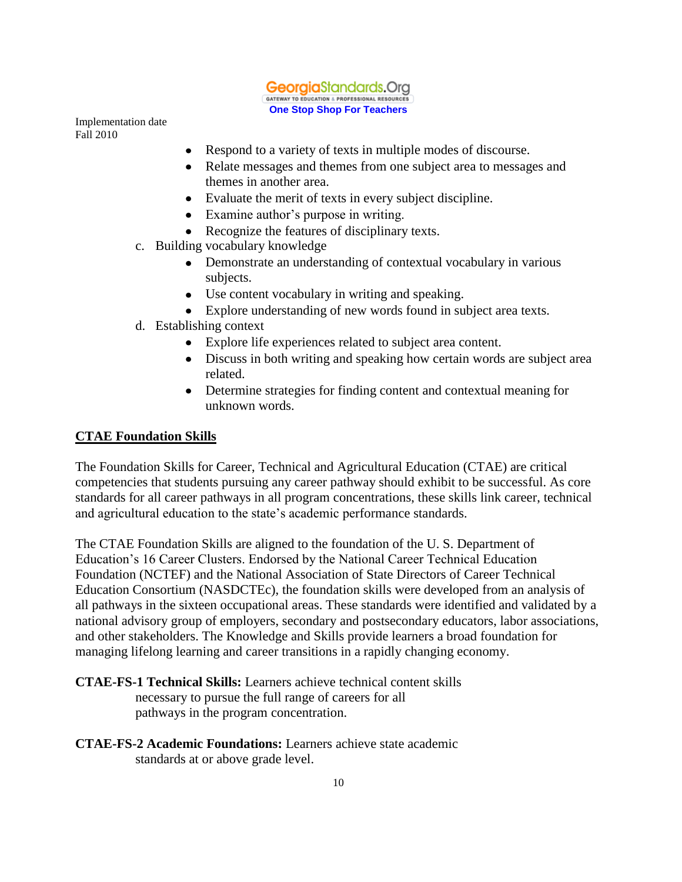

- Respond to a variety of texts in multiple modes of discourse.  $\bullet$
- Relate messages and themes from one subject area to messages and  $\bullet$ themes in another area.
- Evaluate the merit of texts in every subject discipline.
- Examine author's purpose in writing.
- Recognize the features of disciplinary texts.
- c. Building vocabulary knowledge
	- $\bullet$ Demonstrate an understanding of contextual vocabulary in various subjects.
	- Use content vocabulary in writing and speaking.  $\bullet$
	- Explore understanding of new words found in subject area texts.
- d. Establishing context
	- Explore life experiences related to subject area content.  $\bullet$
	- Discuss in both writing and speaking how certain words are subject area related.
	- $\bullet$ Determine strategies for finding content and contextual meaning for unknown words.

#### **CTAE Foundation Skills**

The Foundation Skills for Career, Technical and Agricultural Education (CTAE) are critical competencies that students pursuing any career pathway should exhibit to be successful. As core standards for all career pathways in all program concentrations, these skills link career, technical and agricultural education to the state's academic performance standards.

The CTAE Foundation Skills are aligned to the foundation of the U. S. Department of Education's 16 Career Clusters. Endorsed by the National Career Technical Education Foundation (NCTEF) and the National Association of State Directors of Career Technical Education Consortium (NASDCTEc), the foundation skills were developed from an analysis of all pathways in the sixteen occupational areas. These standards were identified and validated by a national advisory group of employers, secondary and postsecondary educators, labor associations, and other stakeholders. The Knowledge and Skills provide learners a broad foundation for managing lifelong learning and career transitions in a rapidly changing economy.

**CTAE-FS-1 Technical Skills:** Learners achieve technical content skills necessary to pursue the full range of careers for all pathways in the program concentration.

**CTAE-FS-2 Academic Foundations:** Learners achieve state academic standards at or above grade level.